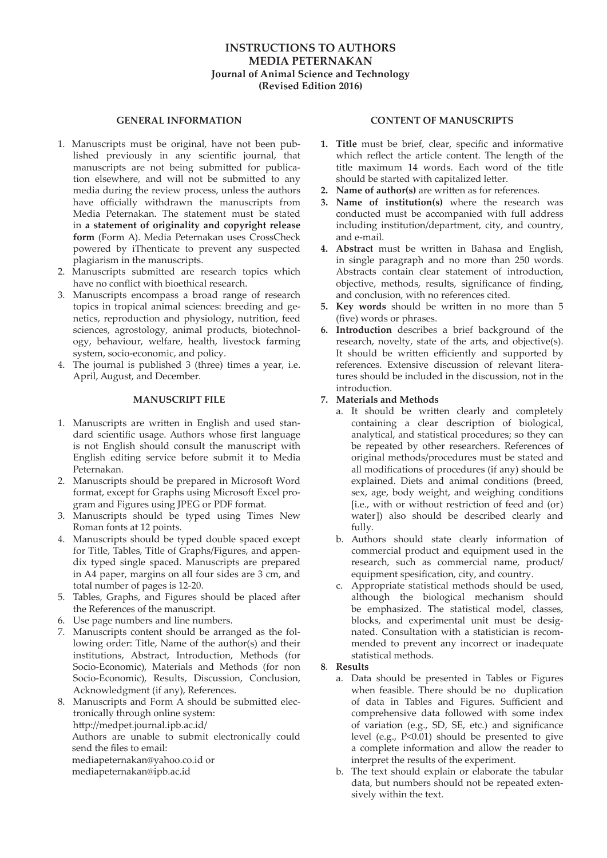#### **INSTRUCTIONS TO AUTHORS MEDIA PETERNAKAN Journal of Animal Science and Technology (Revised Edition 2016)**

#### **GENERAL INFORMATION**

- 1. Manuscripts must be original, have not been published previously in any scientific journal, that manuscripts are not being submitted for publication elsewhere, and will not be submitted to any media during the review process, unless the authors have officially withdrawn the manuscripts from Media Peternakan. The statement must be stated in **a statement of originality and copyright release form** (Form A). Media Peternakan uses CrossCheck powered by iThenticate to prevent any suspected plagiarism in the manuscripts.
- 2. Manuscripts submitted are research topics which have no conflict with bioethical research.
- 3. Manuscripts encompass a broad range of research topics in tropical animal sciences: breeding and genetics, reproduction and physiology, nutrition, feed sciences, agrostology, animal products, biotechnology, behaviour, welfare, health, livestock farming system, socio-economic, and policy.
- 4. The journal is published 3 (three) times a year, i.e. April, August, and December.

#### **MANUSCRIPT FILE**

- 1. Manuscripts are written in English and used standard scientific usage. Authors whose first language is not English should consult the manuscript with English editing service before submit it to Media Peternakan.
- 2. Manuscripts should be prepared in Microsoft Word format, except for Graphs using Microsoft Excel program and Figures using JPEG or PDF format.
- 3. Manuscripts should be typed using Times New Roman fonts at 12 points.
- 4. Manuscripts should be typed double spaced except for Title, Tables, Title of Graphs/Figures, and appendix typed single spaced. Manuscripts are prepared in A4 paper, margins on all four sides are 3 cm, and total number of pages is 12-20.
- 5. Tables, Graphs, and Figures should be placed after the References of the manuscript.
- 6. Use page numbers and line numbers.
- 7. Manuscripts content should be arranged as the following order: Title, Name of the author(s) and their institutions, Abstract, Introduction, Methods (for Socio-Economic), Materials and Methods (for non Socio-Economic), Results, Discussion, Conclusion, Acknowledgment (if any), References.
- 8. Manuscripts and Form A should be submitted electronically through online system: http://medpet.journal.ipb.ac.id/ Authors are unable to submit electronically could send the files to email: mediapeternakan@yahoo.co.id or mediapeternakan@ipb.ac.id

#### **CONTENT OF MANUSCRIPTS**

- **1. Title** must be brief, clear, specific and informative which reflect the article content. The length of the title maximum 14 words. Each word of the title should be started with capitalized letter.
- **2. Name of author(s)** are written as for references.
- **3. Name of institution(s)** where the research was conducted must be accompanied with full address including institution/department, city, and country, and e-mail.
- **4. Abstract** must be written in Bahasa and English, in single paragraph and no more than 250 words. Abstracts contain clear statement of introduction, objective, methods, results, significance of finding, and conclusion, with no references cited.
- **5. Key words** should be written in no more than 5 (five) words or phrases.
- **6. Introduction** describes a brief background of the research, novelty, state of the arts, and objective(s). It should be written efficiently and supported by references. Extensive discussion of relevant literatures should be included in the discussion, not in the introduction.

#### **7. Materials and Methods**

- a. It should be written clearly and completely containing a clear description of biological, analytical, and statistical procedures; so they can be repeated by other researchers. References of original methods/procedures must be stated and all modifications of procedures (if any) should be explained. Diets and animal conditions (breed, sex, age, body weight, and weighing conditions [i.e., with or without restriction of feed and (or) water]) also should be described clearly and fully.
- b. Authors should state clearly information of commercial product and equipment used in the research, such as commercial name, product/ equipment spesification, city, and country.
- c. Appropriate statistical methods should be used, although the biological mechanism should be emphasized. The statistical model, classes, blocks, and experimental unit must be designated. Consultation with a statistician is recommended to prevent any incorrect or inadequate statistical methods.

#### **8**. **Results**

- a. Data should be presented in Tables or Figures when feasible. There should be no duplication of data in Tables and Figures. Sufficient and comprehensive data followed with some index of variation (e.g., SD, SE, etc.) and significance level (e.g., P<0.01) should be presented to give a complete information and allow the reader to interpret the results of the experiment.
- b. The text should explain or elaborate the tabular data, but numbers should not be repeated extensively within the text.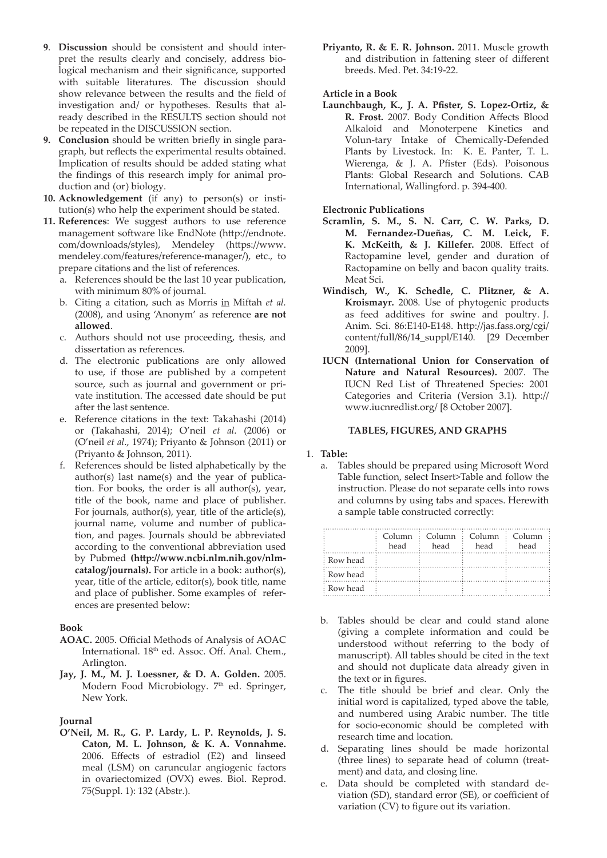- **9**. **Discussion** should be consistent and should interpret the results clearly and concisely, address biological mechanism and their significance, supported with suitable literatures. The discussion should show relevance between the results and the field of investigation and/ or hypotheses. Results that already described in the RESULTS section should not be repeated in the DISCUSSION section.
- **9. Conclusion** should be written briefly in single paragraph, but reflects the experimental results obtained. Implication of results should be added stating what the findings of this research imply for animal production and (or) biology.
- **10. Acknowledgement** (if any) to person(s) or institution(s) who help the experiment should be stated.
- **11. References**: We suggest authors to use reference management software like EndNote (http://endnote. com/downloads/styles), Mendeley (https://www. mendeley.com/features/reference-manager/), etc., to prepare citations and the list of references.
	- a. References should be the last 10 year publication, with minimum 80% of journal.
	- b. Citing a citation, such as Morris in Miftah *et al.* (2008), and using 'Anonym' as reference **are not allowed**.
	- c. Authors should not use proceeding, thesis, and dissertation as references.
	- d. The electronic publications are only allowed to use, if those are published by a competent source, such as journal and government or private institution. The accessed date should be put after the last sentence.
	- e. Reference citations in the text: Takahashi (2014) or (Takahashi, 2014); O'neil *et al*. (2006) or (O'neil *et al*., 1974); Priyanto & Johnson (2011) or (Priyanto & Johnson, 2011).
	- f. References should be listed alphabetically by the author(s) last name(s) and the year of publication. For books, the order is all author(s), year, title of the book, name and place of publisher. For journals, author(s), year, title of the article(s), journal name, volume and number of publication, and pages. Journals should be abbreviated according to the conventional abbreviation used by Pubmed **(http://www.ncbi.nlm.nih.gov/nlmcatalog/journals).** For article in a book: author(s), year, title of the article, editor(s), book title, name and place of publisher. Some examples of references are presented below:

#### **Book**

- **AOAC.** 2005. Official Methods of Analysis of AOAC International. 18<sup>th</sup> ed. Assoc. Off. Anal. Chem., Arlington.
- **Jay, J. M., M. J. Loessner, & D. A. Golden.** 2005. Modern Food Microbiology. 7<sup>th</sup> ed. Springer, New York.

#### **Journal**

**O'Neil, M. R., G. P. Lardy, L. P. Reynolds, J. S. Caton, M. L. Johnson, & K. A. Vonnahme.**  2006. Effects of estradiol (E2) and linseed meal (LSM) on caruncular angiogenic factors in ovariectomized (OVX) ewes. Biol. Reprod. 75(Suppl. 1): 132 (Abstr.).

**Priyanto, R. & E. R. Johnson.** 2011. Muscle growth and distribution in fattening steer of different breeds. Med. Pet. 34:19-22.

#### **Article in a Book**

**Launchbaugh, K., J. A. Pfister, S. Lopez-Ortiz, & R. Frost.** 2007. Body Condition Affects Blood Alkaloid and Monoterpene Kinetics and Volun-tary Intake of Chemically-Defended Plants by Livestock. In: K. E. Panter, T. L. Wierenga, & J. A. Pfister (Eds). Poisonous Plants: Global Research and Solutions. CAB International, Wallingford. p. 394-400.

#### **Electronic Publications**

- **Scramlin, S. M., S. N. Carr, C. W. Parks, D. M. Fernandez-Dueñas, C. M. Leick, F. K. McKeith, & J. Killefer.** 2008. Effect of Ractopamine level, gender and duration of Ractopamine on belly and bacon quality traits. Meat Sci.
- **Windisch, W., K. Schedle, C. Plitzner, & A. Kroismayr.** 2008. Use of phytogenic products as feed additives for swine and poultry. J. Anim. Sci. 86:E140-E148. http://jas.fass.org/cgi/ content/full/86/14\_suppl/E140. [29 December 2009].
- **IUCN (International Union for Conservation of Nature and Natural Resources).** 2007. The IUCN Red List of Threatened Species: 2001 Categories and Criteria (Version 3.1). http:// www.iucnredlist.org/ [8 October 2007].

#### **TABLES, FIGURES, AND GRAPHS**

#### 1. **Table:**

a. Tables should be prepared using Microsoft Word Table function, select Insert>Table and follow the instruction. Please do not separate cells into rows and columns by using tabs and spaces. Herewith a sample table constructed correctly:

|            | $Col$ <sub>11</sub> $mn$<br>head | $\therefore$ Column $\therefore$ Column $\therefore$ Column<br>head | head | head |
|------------|----------------------------------|---------------------------------------------------------------------|------|------|
| : Row head |                                  |                                                                     |      |      |
| : Row head |                                  |                                                                     |      |      |
| : Row head |                                  |                                                                     |      |      |

- b. Tables should be clear and could stand alone (giving a complete information and could be understood without referring to the body of manuscript). All tables should be cited in the text and should not duplicate data already given in the text or in figures.
- c. The title should be brief and clear. Only the initial word is capitalized, typed above the table, and numbered using Arabic number. The title for socio-economic should be completed with research time and location.
- d. Separating lines should be made horizontal (three lines) to separate head of column (treatment) and data, and closing line.
- e. Data should be completed with standard deviation (SD), standard error (SE), or coefficient of variation (CV) to figure out its variation.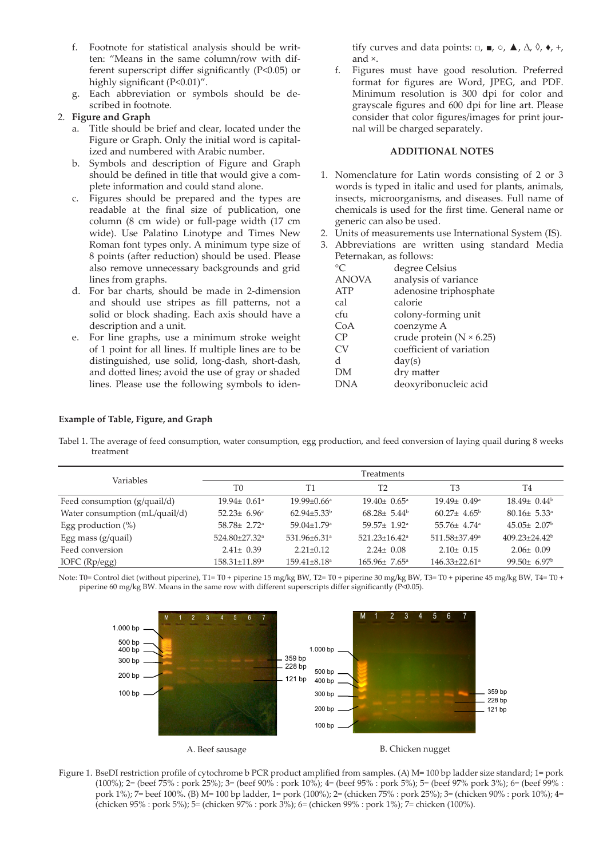- f. Footnote for statistical analysis should be written: "Means in the same column/row with different superscript differ significantly (P<0.05) or highly significant (P<0.01)".
- g. Each abbreviation or symbols should be described in footnote.

#### 2. **Figure and Graph**

- a. Title should be brief and clear, located under the Figure or Graph. Only the initial word is capitalized and numbered with Arabic number.
- b. Symbols and description of Figure and Graph should be defined in title that would give a complete information and could stand alone.
- c. Figures should be prepared and the types are readable at the final size of publication, one column (8 cm wide) or full-page width (17 cm wide). Use Palatino Linotype and Times New Roman font types only. A minimum type size of 8 points (after reduction) should be used. Please also remove unnecessary backgrounds and grid lines from graphs.
- d. For bar charts, should be made in 2-dimension and should use stripes as fill patterns, not a solid or block shading. Each axis should have a description and a unit.
- e. For line graphs, use a minimum stroke weight of 1 point for all lines. If multiple lines are to be distinguished, use solid, long-dash, short-dash, and dotted lines; avoid the use of gray or shaded lines. Please use the following symbols to iden-

tify curves and data points:  $\Box$ ,  $\blacksquare$ ,  $\odot$ ,  $\blacktriangle$ ,  $\triangle$ ,  $\Diamond$ ,  $\blacklozenge$ ,  $+$ , and ×.

f. Figures must have good resolution. Preferred format for figures are Word, JPEG, and PDF. Minimum resolution is 300 dpi for color and grayscale figures and 600 dpi for line art. Please consider that color figures/images for print journal will be charged separately.

#### **ADDITIONAL NOTES**

- 1. Nomenclature for Latin words consisting of 2 or 3 words is typed in italic and used for plants, animals, insects, microorganisms, and diseases. Full name of chemicals is used for the first time. General name or generic can also be used.
- 2. Units of measurements use International System (IS).
- 3. Abbreviations are written using standard Media Peternakan, as follows:

| °∩           | degree Celsius                    |
|--------------|-----------------------------------|
| <b>ANOVA</b> | analysis of variance              |
| <b>ATP</b>   | adenosine triphosphate            |
| cal          | calorie                           |
| cfu          | colony-forming unit               |
| CoA          | coenzyme A                        |
| CP           | crude protein ( $N \times 6.25$ ) |
| CV           | coefficient of variation          |
| <sub>d</sub> | day(s)                            |
| DΜ           | dry matter                        |
| <b>DNA</b>   | deoxyribonucleic acid             |

#### **Example of Table, Figure, and Graph**

Tabel 1. The average of feed consumption, water consumption, egg production, and feed conversion of laying quail during 8 weeks treatment

| Variables                      | Treatments                    |                                |                                 |                                 |                               |
|--------------------------------|-------------------------------|--------------------------------|---------------------------------|---------------------------------|-------------------------------|
|                                | T <sub>0</sub>                | T1                             | T <sub>2</sub>                  | T <sub>3</sub>                  | T4                            |
| Feed consumption (g/quail/d)   | $19.94 \pm 0.61$ <sup>a</sup> | $19.99 \pm 0.66^{\mathrm{a}}$  | $19.40 \pm 0.65^{\circ}$        | $19.49 \pm 0.49^{\circ}$        | $18.49 \pm 0.44^b$            |
| Water consumption (mL/quail/d) | 52.23 $\pm$ 6.96 $\text{c}$   | $62.94 \pm 5.33^b$             | $68.28 \pm 5.44^b$              | $60.27 \pm 4.65^{\circ}$        | $80.16 \pm 5.33$ <sup>a</sup> |
| Egg production $(\%)$          | $58.78 \pm 2.72$ <sup>a</sup> | 59.04±1.79 <sup>a</sup>        | 59.57± 1.92 <sup>a</sup>        | $55.76 \pm 4.74$ <sup>a</sup>   | $45.05 \pm 2.07^{\circ}$      |
| Egg mass $(g/quail)$           | 524.80±27.32 <sup>a</sup>     | 531.96±6.31 <sup>a</sup>       | $521.23 \pm 16.42$ <sup>a</sup> | 511.58±37.49 <sup>a</sup>       | $409.23 \pm 24.42^b$          |
| Feed conversion                | $2.41 \pm 0.39$               | $2.21 \pm 0.12$                | $2.24 \pm 0.08$                 | $2.10 \pm 0.15$                 | $2.06 \pm 0.09$               |
| IOFC $(Rp/egg)$                | 158.31±11.89 <sup>a</sup>     | $159.41 \pm 8.18$ <sup>a</sup> | $165.96 \pm 7.65^{\circ}$       | $146.33 \pm 22.61$ <sup>a</sup> | $99.50 \pm 6.97^{\rm b}$      |

Note: T0= Control diet (without piperine), T1= T0 + piperine 15 mg/kg BW, T2= T0 + piperine 30 mg/kg BW, T3= T0 + piperine 45 mg/kg BW, T4= T0 + piperine 60 mg/kg BW. Means in the same row with different superscripts differ significantly (P<0.05).



Figure 1. BseDI restriction profile of cytochrome b PCR product amplified from samples. (A) M= 100 bp ladder size standard; 1= pork (100%); 2= (beef 75% : pork 25%); 3= (beef 90% : pork 10%); 4= (beef 95% : pork 5%); 5= (beef 97% pork 3%); 6= (beef 99% : pork 1%); 7= beef 100%. (B) M= 100 bp ladder, 1= pork (100%); 2= (chicken 75% : pork 25%); 3= (chicken 90% : pork 10%); 4= (chicken 95% : pork 5%); 5= (chicken 97% : pork 3%); 6= (chicken 99% : pork 1%); 7= chicken (100%).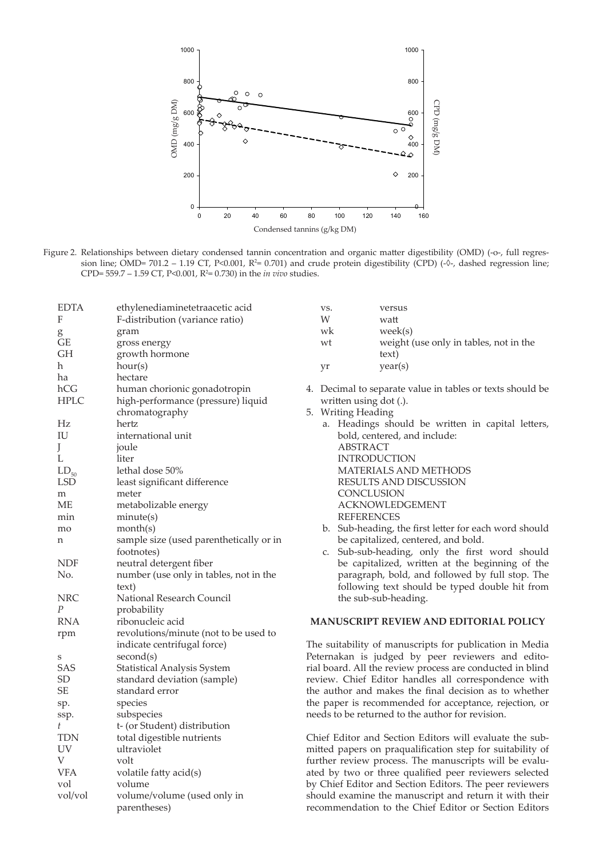

Figure 2. Relationships between dietary condensed tannin concentration and organic matter digestibility (OMD) (-o-, full regression line; OMD= 701.2 – 1.19 CT, P<0.001, R<sup>2</sup>= 0.701) and crude protein digestibility (CPD) ( $\sqrt[6]{\cdot}$ , dashed regression line; CPD= 559.7 – 1.59 CT, *P*<0.001,  $R^2$ = 0.730) in the *in vivo* studies.

| EDTA             | ethylenediaminetetraacetic acid         |
|------------------|-----------------------------------------|
| F                | F-distribution (variance ratio)         |
| g                | gram                                    |
| GЕ               | gross energy                            |
| GH               | growth hormone                          |
| h                | hour(s)                                 |
| ha               | hectare                                 |
| hCG              | human chorionic gonadotropin            |
| HPLC             | high-performance (pressure) liquid      |
|                  | chromatography                          |
| Hz               | hertz                                   |
| IU               | international unit                      |
| J                | joule                                   |
| L                | liter                                   |
| $LD_{50}$        | lethal dose 50%                         |
| LSD              | least significant difference            |
| m                | meter                                   |
| MЕ               | metabolizable energy                    |
| min              | minute(s)                               |
| mo               | month(s)                                |
| n                | sample size (used parenthetically or in |
|                  | footnotes)                              |
| NDF              | neutral detergent fiber                 |
| No.              | number (use only in tables, not in the  |
|                  | text)                                   |
| NRC              | National Research Council               |
| $\boldsymbol{P}$ | probability                             |
| <b>RNA</b>       | ribonucleic acid                        |
| rpm              | revolutions/minute (not to be used to   |
|                  | indicate centrifugal force)             |
| S                | second(s)                               |
| SAS              | Statistical Analysis System             |
| SD               | standard deviation (sample)             |
| SЕ               | standard error                          |
| sp.              | species                                 |
| ssp.             | subspecies                              |
| t                | t- (or Student) distribution            |
| TDN              | total digestible nutrients              |
| UV               | ultraviolet                             |
| V                | volt                                    |
| VFA              | volatile fatty acid(s)                  |
| vol              | volume                                  |
| vol/vol          | volume/volume (used only in             |
|                  | parentheses)                            |

| VS. | versus                                 |
|-----|----------------------------------------|
| W   | watt                                   |
| wk  | week(s)                                |
| wt  | weight (use only in tables, not in the |
|     | text)                                  |
| vr  | year(s)                                |

- 4. Decimal to separate value in tables or texts should be written using dot (.).
- 5. Writing Heading
	- a. Headings should be written in capital letters, bold, centered, and include: ABSTRACT INTRODUCTION MATERIALS AND METHODS RESULTS AND DISCUSSION CONCLUSION ACKNOWLEDGEMENT REFERENCES
	- b. Sub-heading, the first letter for each word should be capitalized, centered, and bold.
	- c. Sub-sub-heading, only the first word should be capitalized, written at the beginning of the paragraph, bold, and followed by full stop. The following text should be typed double hit from the sub-sub-heading.

#### **MANUSCRIPT REVIEW AND EDITORIAL POLICY**

The suitability of manuscripts for publication in Media Peternakan is judged by peer reviewers and editorial board. All the review process are conducted in blind review. Chief Editor handles all correspondence with the author and makes the final decision as to whether the paper is recommended for acceptance, rejection, or needs to be returned to the author for revision.

Chief Editor and Section Editors will evaluate the submitted papers on praqualification step for suitability of further review process. The manuscripts will be evaluated by two or three qualified peer reviewers selected by Chief Editor and Section Editors. The peer reviewers should examine the manuscript and return it with their recommendation to the Chief Editor or Section Editors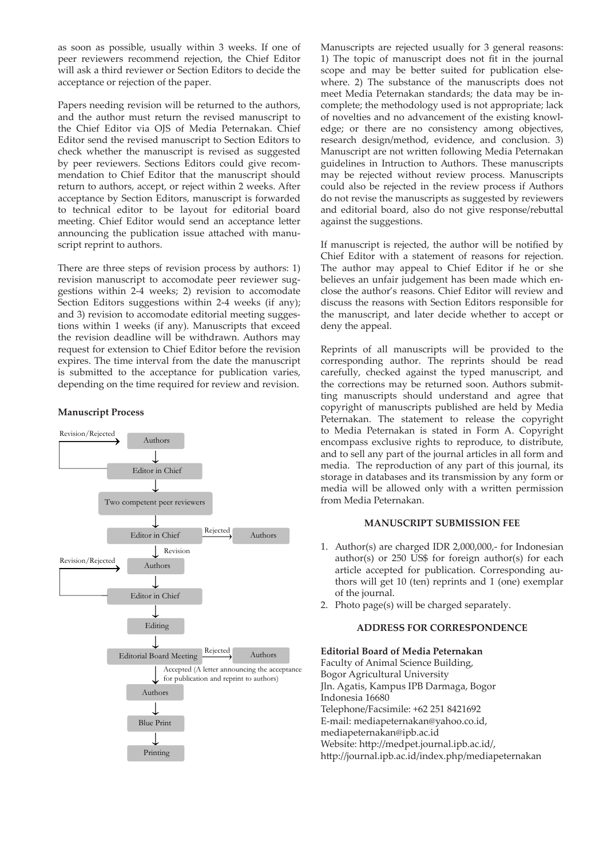as soon as possible, usually within 3 weeks. If one of peer reviewers recommend rejection, the Chief Editor will ask a third reviewer or Section Editors to decide the acceptance or rejection of the paper.

Papers needing revision will be returned to the authors, and the author must return the revised manuscript to the Chief Editor via OJS of Media Peternakan. Chief Editor send the revised manuscript to Section Editors to check whether the manuscript is revised as suggested by peer reviewers. Sections Editors could give recommendation to Chief Editor that the manuscript should return to authors, accept, or reject within 2 weeks. After acceptance by Section Editors, manuscript is forwarded to technical editor to be layout for editorial board meeting. Chief Editor would send an acceptance letter announcing the publication issue attached with manuscript reprint to authors.

There are three steps of revision process by authors: 1) revision manuscript to accomodate peer reviewer suggestions within 2-4 weeks; 2) revision to accomodate Section Editors suggestions within 2-4 weeks (if any); and 3) revision to accomodate editorial meeting suggestions within 1 weeks (if any). Manuscripts that exceed the revision deadline will be withdrawn. Authors may request for extension to Chief Editor before the revision expires. The time interval from the date the manuscript is submitted to the acceptance for publication varies, depending on the time required for review and revision.

#### **Manuscript Process**



Manuscripts are rejected usually for 3 general reasons: 1) The topic of manuscript does not fit in the journal scope and may be better suited for publication elsewhere. 2) The substance of the manuscripts does not meet Media Peternakan standards; the data may be incomplete; the methodology used is not appropriate; lack of novelties and no advancement of the existing knowledge; or there are no consistency among objectives, research design/method, evidence, and conclusion. 3) Manuscript are not written following Media Peternakan guidelines in Intruction to Authors. These manuscripts may be rejected without review process. Manuscripts could also be rejected in the review process if Authors do not revise the manuscripts as suggested by reviewers and editorial board, also do not give response/rebuttal against the suggestions.

If manuscript is rejected, the author will be notified by Chief Editor with a statement of reasons for rejection. The author may appeal to Chief Editor if he or she believes an unfair judgement has been made which enclose the author's reasons. Chief Editor will review and discuss the reasons with Section Editors responsible for the manuscript, and later decide whether to accept or deny the appeal.

Reprints of all manuscripts will be provided to the corresponding author. The reprints should be read carefully, checked against the typed manuscript, and the corrections may be returned soon. Authors submitting manuscripts should understand and agree that copyright of manuscripts published are held by Media Peternakan. The statement to release the copyright to Media Peternakan is stated in Form A. Copyright encompass exclusive rights to reproduce, to distribute, and to sell any part of the journal articles in all form and media. The reproduction of any part of this journal, its storage in databases and its transmission by any form or media will be allowed only with a written permission from Media Peternakan.

#### **MANUSCRIPT SUBMISSION FEE**

- 1. Author(s) are charged IDR 2,000,000,- for Indonesian author(s) or 250 US\$ for foreign author(s) for each article accepted for publication. Corresponding authors will get 10 (ten) reprints and 1 (one) exemplar of the journal.
- 2. Photo page(s) will be charged separately.

#### **ADDRESS FOR CORRESPONDENCE**

#### **Editorial Board of Media Peternakan**

Faculty of Animal Science Building, Bogor Agricultural University Jln. Agatis, Kampus IPB Darmaga, Bogor Indonesia 16680 Telephone/Facsimile: +62 251 8421692 E-mail: mediapeternakan@yahoo.co.id, mediapeternakan@ipb.ac.id Website: http://medpet.journal.ipb.ac.id/, http://journal.ipb.ac.id/index.php/mediapeternakan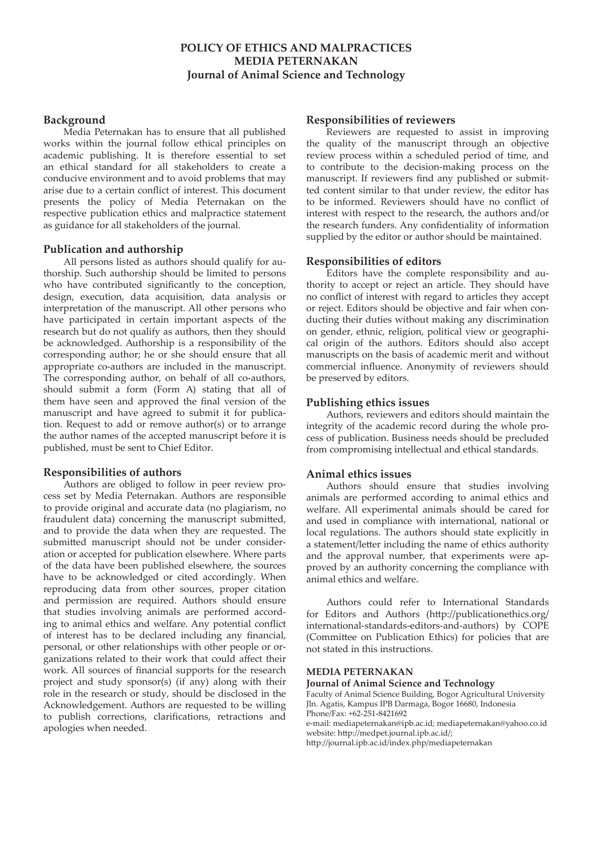#### **POLICY OF ETHICS AND MALPRACTICES MEDIA PETERNAKAN Journal of Animal Science and Technology**

#### **Background**

Media Peternakan has to ensure that all published works within the journal follow ethical principles on academic publishing. It is therefore essential to set an ethical standard for all stakeholders to create a conducive environment and to avoid problems that may arise due to a certain conflict of interest. This document presents the policy of Media Peternakan on the respective publication ethics and malpractice statement as guidance for all stakeholders of the journal.

#### **Publication and authorship**

All persons listed as authors should qualify for authorship. Such authorship should be limited to persons who have contributed significantly to the conception, design, execution, data acquisition, data analysis or interpretation of the manuscript. All other persons who have participated in certain important aspects of the research but do not qualify as authors, then they should be acknowledged. Authorship is a responsibility of the corresponding author; he or she should ensure that all appropriate co-authors are included in the manuscript. The corresponding author, on behalf of all co-authors, should submit a form (Form A) stating that all of them have seen and approved the final version of the manuscript and have agreed to submit it for publication. Request to add or remove author(s) or to arrange the author names of the accepted manuscript before it is published, must be sent to Chief Editor.

#### **Responsibilities of authors**

Authors are obliged to follow in peer review process set by Media Peternakan. Authors are responsible to provide original and accurate data (no plagiarism, no fraudulent data) concerning the manuscript submitted, and to provide the data when they are requested. The submitted manuscript should not be under consideration or accepted for publication elsewhere. Where parts of the data have been published elsewhere, the sources have to be acknowledged or cited accordingly. When reproducing data from other sources, proper citation and permission are required. Authors should ensure that studies involving animals are performed according to animal ethics and welfare. Any potential conflict of interest has to be declared including any financial, personal, or other relationships with other people or organizations related to their work that could affect their work. All sources of financial supports for the research project and study sponsor(s) (if any) along with their role in the research or study, should be disclosed in the Acknowledgement. Authors are requested to be willing to publish corrections, clarifications, retractions and apologies when needed.

#### **Responsibilities of reviewers**

Reviewers are requested to assist in improving the quality of the manuscript through an objective review process within a scheduled period of time, and to contribute to the decision-making process on the manuscript. If reviewers find any published or submitted content similar to that under review, the editor has to be informed. Reviewers should have no conflict of interest with respect to the research, the authors and/or the research funders. Any confidentiality of information supplied by the editor or author should be maintained.

#### **Responsibilities of editors**

Editors have the complete responsibility and authority to accept or reject an article. They should have no conflict of interest with regard to articles they accept or reject. Editors should be objective and fair when conducting their duties without making any discrimination on gender, ethnic, religion, political view or geographical origin of the authors. Editors should also accept manuscripts on the basis of academic merit and without commercial influence. Anonymity of reviewers should be preserved by editors.

#### **Publishing ethics issues**

Authors, reviewers and editors should maintain the integrity of the academic record during the whole process of publication. Business needs should be precluded from compromising intellectual and ethical standards.

#### **Animal ethics issues**

Authors should ensure that studies involving animals are performed according to animal ethics and welfare. All experimental animals should be cared for and used in compliance with international, national or local regulations. The authors should state explicitly in a statement/letter including the name of ethics authority and the approval number, that experiments were approved by an authority concerning the compliance with animal ethics and welfare.

Authors could refer to International Standards for Editors and Authors (http://publicationethics.org/ international-standards-editors-and-authors) by COPE (Committee on Publication Ethics) for policies that are not stated in this instructions.

#### **MEDIA PETERNAKAN**

**Journal of Animal Science and Technology**

Faculty of Animal Science Building, Bogor Agricultural University Jln. Agatis, Kampus IPB Darmaga, Bogor 16680, Indonesia Phone/Fax: +62-251-8421692 e-mail: mediapeternakan@ipb.ac.id; mediapeternakan@yahoo.co.id website: http://medpet.journal.ipb.ac.id/;

http://journal.ipb.ac.id/index.php/mediapeternakan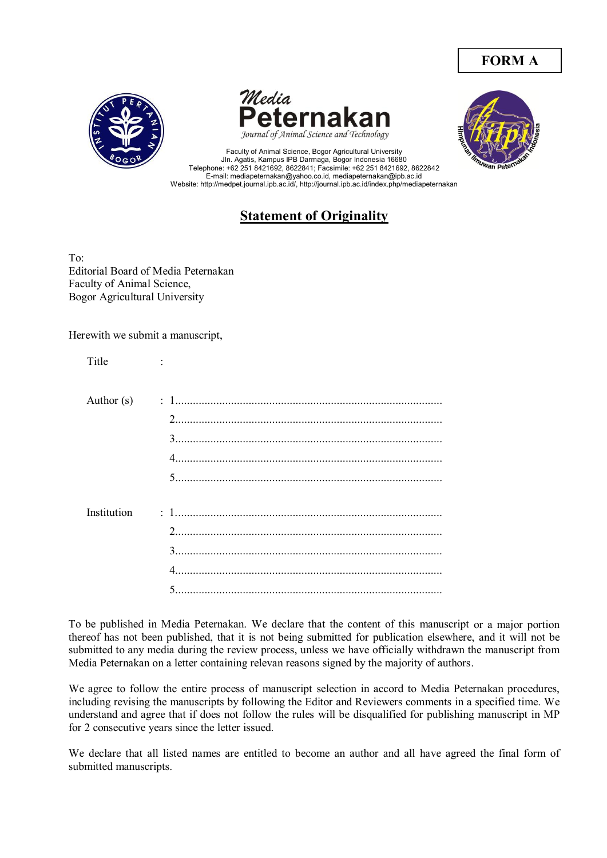# **FORM A**







Faculty of Animal Science, Bogor Agricultural University Jln. Agatis, Kampus IPB Darmaga, Bogor Indonesia 16680 Telephone: +62 251 8421692, 8622841; Facsimile: +62 251 8421692, 8622842 E-mail: mediapeternakan@yahoo.co.id, mediapeternakan@ipb.ac.id Website: http://medpet.journal.ipb.ac.id/, http://journal.ipb.ac.id/index.php/mediapeternakan

# **Statement of Originality**

To: Editorial Board of Media Peternakan Faculty of Animal Science, Bogor Agricultural University

Herewith we submit a manuscript,

| Title        |   |
|--------------|---|
| Author $(s)$ |   |
|              |   |
|              |   |
| Institution  |   |
|              |   |
|              | 4 |
|              |   |

To be published in Media Peternakan. We declare that the content of this manuscript or a major portion thereof has not been published, that it is not being submitted for publication elsewhere, and it will not be submitted to any media during the review process, unless we have officially withdrawn the manuscript from Media Peternakan on a letter containing relevan reasons signed by the majority of authors.

We agree to follow the entire process of manuscript selection in accord to Media Peternakan procedures, including revising the manuscripts by following the Editor and Reviewers comments in a specified time. We understand and agree that if does not follow the rules will be disqualified for publishing manuscript in MP for 2 consecutive years since the letter issued.

We declare that all listed names are entitled to become an author and all have agreed the final form of submitted manuscripts.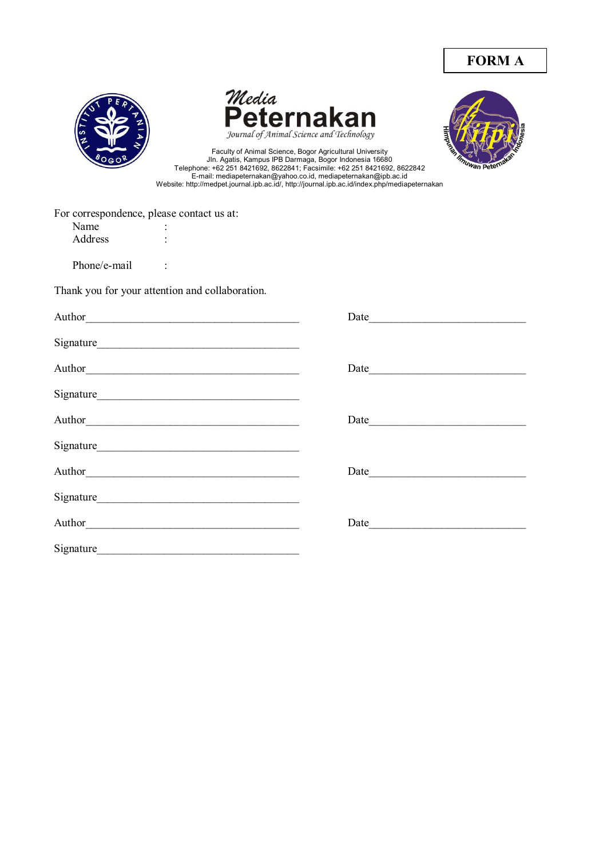







Faculty of Animal Science, Bogor Agricultural University Jln. Agatis, Kampus IPB Darmaga, Bogor Indonesia 16680 Telephone: +62 251 8421692, 8622841; Facsimile: +62 251 8421692, 8622842 E-mail: mediapeternakan@yahoo.co.id, mediapeternakan@ipb.ac.id Website: http://medpet.journal.ipb.ac.id/, http://journal.ipb.ac.id/index.php/mediapeternakan

| For correspondence, please contact us at: |   |  |
|-------------------------------------------|---|--|
| Name                                      |   |  |
| Address                                   | ۰ |  |
|                                           |   |  |

Phone/e-mail :

Thank you for your attention and collaboration.

| Signature                                                                                                                                                                                                                     |      |
|-------------------------------------------------------------------------------------------------------------------------------------------------------------------------------------------------------------------------------|------|
|                                                                                                                                                                                                                               |      |
|                                                                                                                                                                                                                               |      |
|                                                                                                                                                                                                                               |      |
|                                                                                                                                                                                                                               |      |
|                                                                                                                                                                                                                               | Date |
| Signature expansion of the state of the state of the state of the state of the state of the state of the state of the state of the state of the state of the state of the state of the state of the state of the state of the |      |
|                                                                                                                                                                                                                               |      |
| Signature                                                                                                                                                                                                                     |      |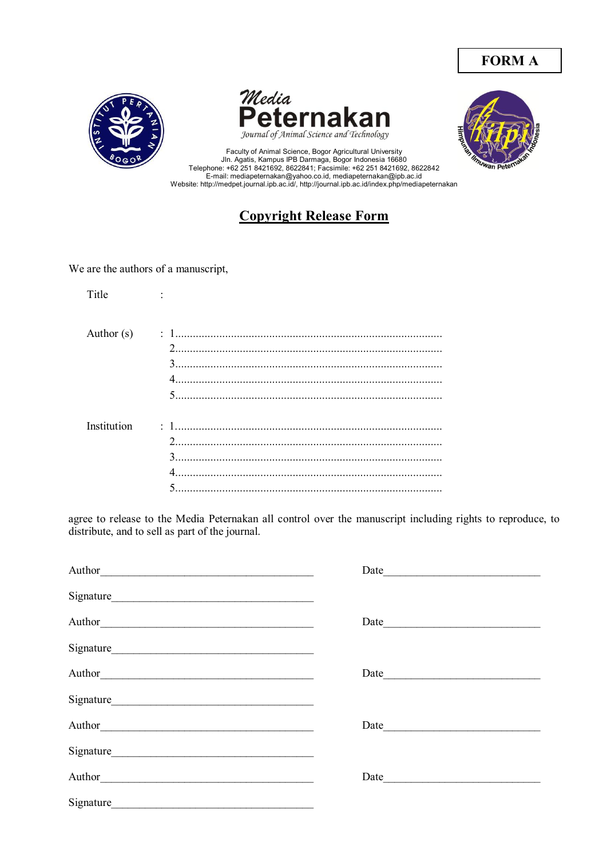# **FORM A**







Faculty of Animal Science, Bogor Agricultural University<br>Jln. Agatis, Kampus IPB Darmaga, Bogor Indonesia 16680<br>Telephone: +62 251 8421692, 8622841; Facsimile: +62 251 8421692, 8622842 E-mail: mediapeternakan@yahoo.co.id, mediapeternakan@ipb.ac.id<br>Website: http://medpet.journal.ipb.ac.id/, http://journal.ipb.ac.id/index.php/mediapeternakan

# **Copyright Release Form**

We are the authors of a manuscript,

| Title        |                                     |
|--------------|-------------------------------------|
| Author $(s)$ |                                     |
| Institution  | $\overline{2}$<br>$\mathbf{R}$<br>5 |

agree to release to the Media Peternakan all control over the manuscript including rights to reproduce, to distribute, and to sell as part of the journal.

|                                                                                                                                                                                                                                | Date |  |
|--------------------------------------------------------------------------------------------------------------------------------------------------------------------------------------------------------------------------------|------|--|
|                                                                                                                                                                                                                                |      |  |
| Author <u>Communication</u>                                                                                                                                                                                                    |      |  |
|                                                                                                                                                                                                                                |      |  |
|                                                                                                                                                                                                                                |      |  |
|                                                                                                                                                                                                                                |      |  |
|                                                                                                                                                                                                                                |      |  |
|                                                                                                                                                                                                                                |      |  |
| Author Author Authority and the Contract of the Contract of the Contract of the Contract of the Contract of the Contract of the Contract of the Contract of the Contract of the Contract of the Contract of the Contract of th | Date |  |
| Signature                                                                                                                                                                                                                      |      |  |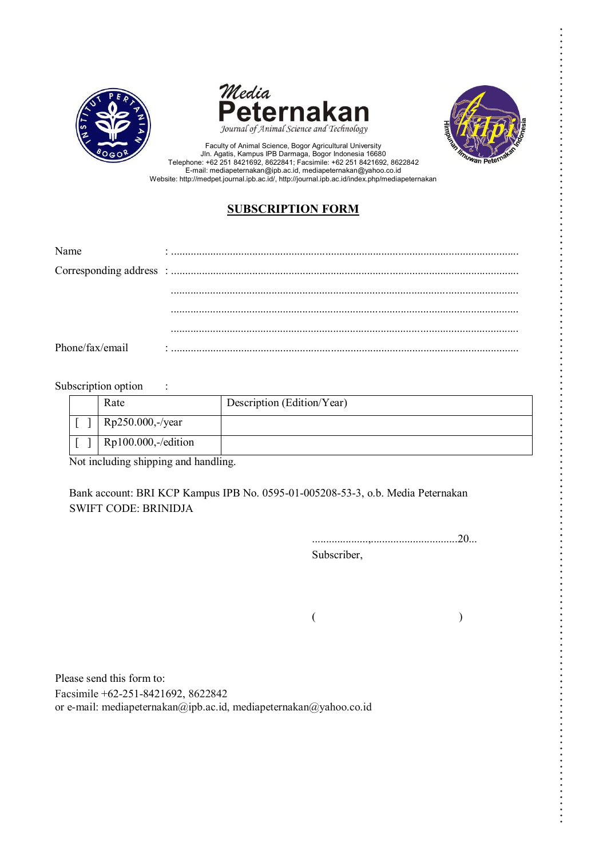





Faculty of Animal Science, Bogor Agricultural University Jln. Agatis, Kampus IPB Darmaga, Bogor Indonesia 16680 Telephone: +62 251 8421692, 8622841; Facsimile: +62 251 8421692, 8622842 E-mail: mediapeternakan@ipb.ac.id, mediapeternakan@yahoo.co.id Website: http://medpet.journal.ipb.ac.id/, http://journal.ipb.ac.id/index.php/mediapeternakan

### **SUBSCRIPTION FORM**

| Name            |  |
|-----------------|--|
|                 |  |
|                 |  |
|                 |  |
|                 |  |
| Phone/fax/email |  |

#### Subscription option :

| Rate                  | Description (Edition/Year) |
|-----------------------|----------------------------|
| Rp250.000,-/year      |                            |
| $Rp100.000,-/edition$ |                            |

Not including shipping and handling.

Bank account: BRI KCP Kampus IPB No. 0595-01-005208-53-3, o.b. Media Peternakan SWIFT CODE: BRINIDJA

> ....................,...............................20... Subscriber,

 $($ 

Please send this form to: Facsimile +62-251-8421692, 8622842 or e-mail: mediapeternakan@ipb.ac.id, mediapeternakan@yahoo.co.id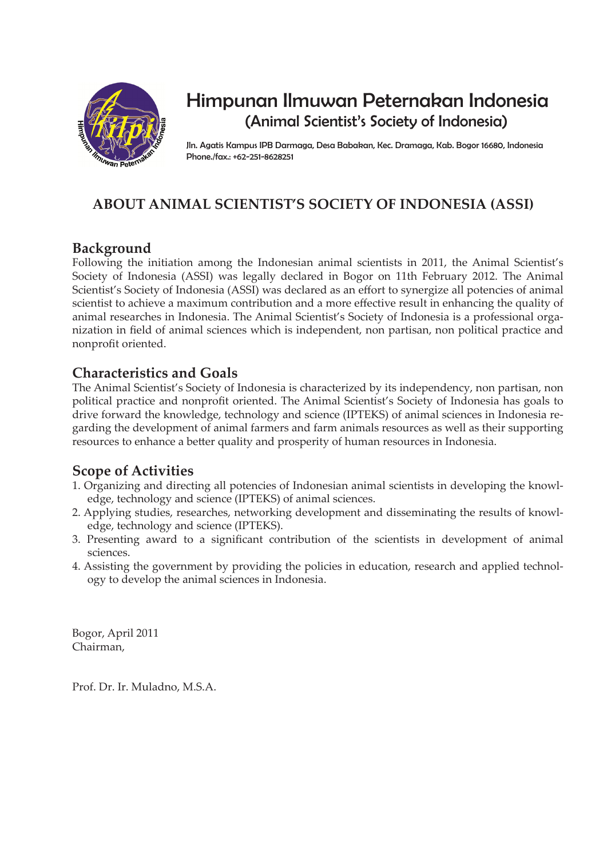

# Himpunan Ilmuwan Peternakan Indonesia (Animal Scientist's Society of Indonesia)

Jln. Agatis Kampus IPB Darmaga, Desa Babakan, Kec. Dramaga, Kab. Bogor 16680, Indonesia Phone./fax.: +62-251-8628251

# **ABOUT ANIMAL SCIENTIST'S SOCIETY OF INDONESIA (ASSI)**

# **Background**

Following the initiation among the Indonesian animal scientists in 2011, the Animal Scientist's Society of Indonesia (ASSI) was legally declared in Bogor on 11th February 2012. The Animal Scientist's Society of Indonesia (ASSI) was declared as an effort to synergize all potencies of animal scientist to achieve a maximum contribution and a more effective result in enhancing the quality of animal researches in Indonesia. The Animal Scientist's Society of Indonesia is a professional organization in field of animal sciences which is independent, non partisan, non political practice and nonprofit oriented.

# **Characteristics and Goals**

The Animal Scientist's Society of Indonesia is characterized by its independency, non partisan, non political practice and nonprofit oriented. The Animal Scientist's Society of Indonesia has goals to drive forward the knowledge, technology and science (IPTEKS) of animal sciences in Indonesia regarding the development of animal farmers and farm animals resources as well as their supporting resources to enhance a better quality and prosperity of human resources in Indonesia.

### **Scope of Activities**

- 1. Organizing and directing all potencies of Indonesian animal scientists in developing the knowledge, technology and science (IPTEKS) of animal sciences.
- 2. Applying studies, researches, networking development and disseminating the results of knowledge, technology and science (IPTEKS).
- 3. Presenting award to a significant contribution of the scientists in development of animal sciences.
- 4. Assisting the government by providing the policies in education, research and applied technology to develop the animal sciences in Indonesia.

Bogor, April 2011 Chairman,

Prof. Dr. Ir. Muladno, M.S.A.